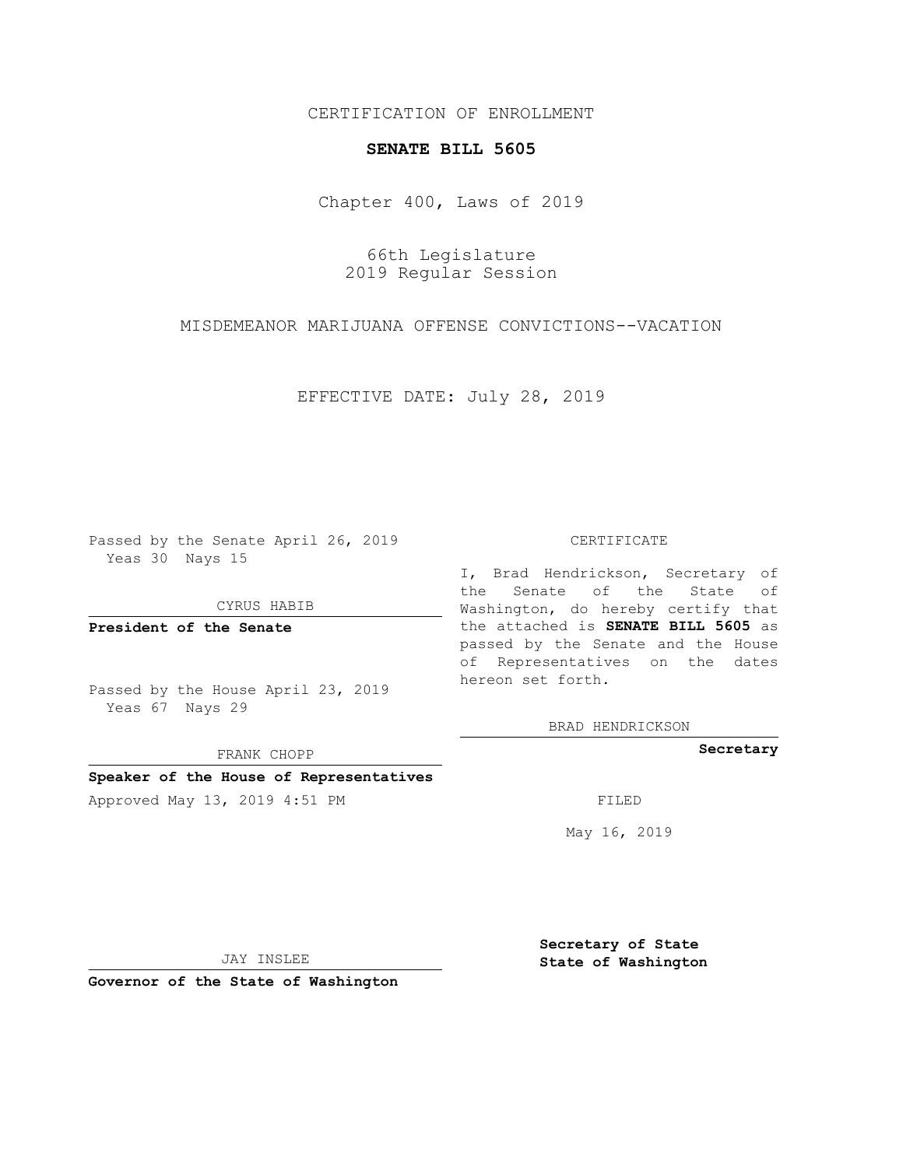## CERTIFICATION OF ENROLLMENT

## **SENATE BILL 5605**

Chapter 400, Laws of 2019

66th Legislature 2019 Regular Session

MISDEMEANOR MARIJUANA OFFENSE CONVICTIONS--VACATION

EFFECTIVE DATE: July 28, 2019

Passed by the Senate April 26, 2019 Yeas 30 Nays 15

CYRUS HABIB

**President of the Senate**

Passed by the House April 23, 2019 Yeas 67 Nays 29

FRANK CHOPP

### **Speaker of the House of Representatives**

Approved May 13, 2019 4:51 PM FILED

#### CERTIFICATE

I, Brad Hendrickson, Secretary of the Senate of the State of Washington, do hereby certify that the attached is **SENATE BILL 5605** as passed by the Senate and the House of Representatives on the dates hereon set forth.

BRAD HENDRICKSON

**Secretary**

May 16, 2019

JAY INSLEE

**Governor of the State of Washington**

**Secretary of State State of Washington**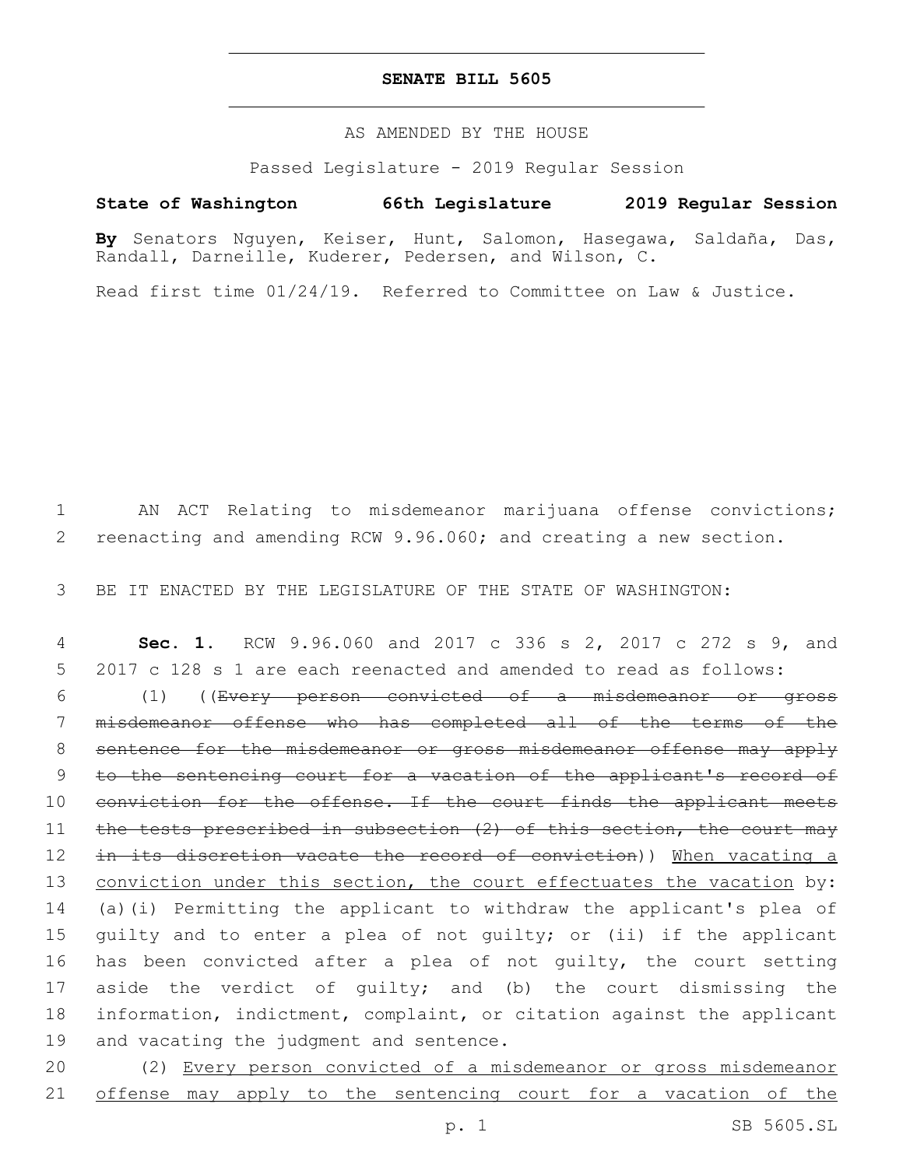## **SENATE BILL 5605**

AS AMENDED BY THE HOUSE

Passed Legislature - 2019 Regular Session

# **State of Washington 66th Legislature 2019 Regular Session**

**By** Senators Nguyen, Keiser, Hunt, Salomon, Hasegawa, Saldaña, Das, Randall, Darneille, Kuderer, Pedersen, and Wilson, C.

Read first time 01/24/19. Referred to Committee on Law & Justice.

1 AN ACT Relating to misdemeanor marijuana offense convictions; 2 reenacting and amending RCW 9.96.060; and creating a new section.

3 BE IT ENACTED BY THE LEGISLATURE OF THE STATE OF WASHINGTON:

4 **Sec. 1.** RCW 9.96.060 and 2017 c 336 s 2, 2017 c 272 s 9, and 5 2017 c 128 s 1 are each reenacted and amended to read as follows:

6 (1) ((Every person convicted of a misdemeanor or gross 7 misdemeanor offense who has completed all of the terms of the 8 sentence for the misdemeanor or gross misdemeanor offense may apply 9 to the sentencing court for a vacation of the applicant's record of 10 conviction for the offense. If the court finds the applicant meets 11 the tests prescribed in subsection (2) of this section, the court may 12 in its discretion vacate the record of conviction)) When vacating a 13 conviction under this section, the court effectuates the vacation by: 14 (a)(i) Permitting the applicant to withdraw the applicant's plea of 15 guilty and to enter a plea of not guilty; or (ii) if the applicant 16 has been convicted after a plea of not guilty, the court setting 17 aside the verdict of guilty; and (b) the court dismissing the 18 information, indictment, complaint, or citation against the applicant 19 and vacating the judgment and sentence.

20 (2) Every person convicted of a misdemeanor or gross misdemeanor 21 offense may apply to the sentencing court for a vacation of the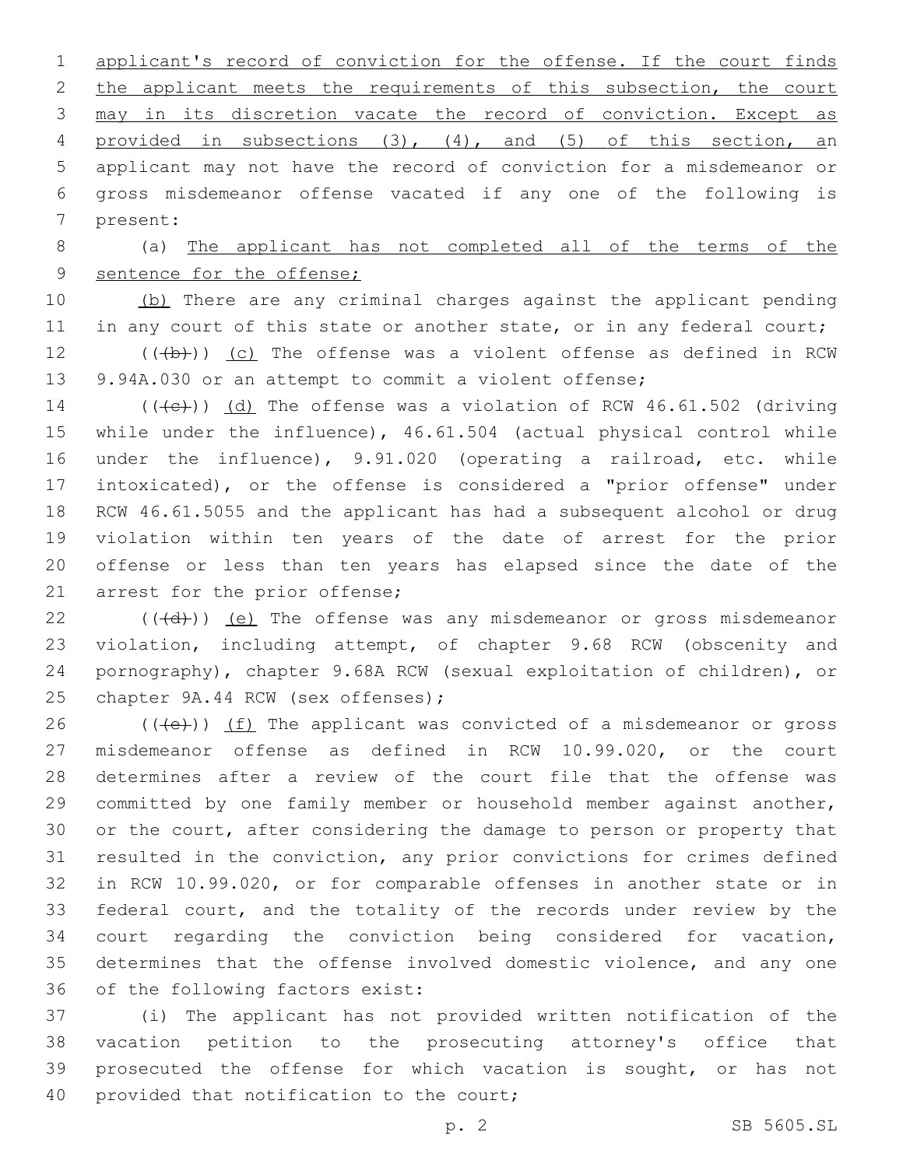applicant's record of conviction for the offense. If the court finds 2 the applicant meets the requirements of this subsection, the court may in its discretion vacate the record of conviction. Except as provided in subsections (3), (4), and (5) of this section, an applicant may not have the record of conviction for a misdemeanor or gross misdemeanor offense vacated if any one of the following is 7 present:

 (a) The applicant has not completed all of the terms of the 9 sentence for the offense;

 (b) There are any criminal charges against the applicant pending 11 in any court of this state or another state, or in any federal court;

12  $((+b))$   $(c)$  The offense was a violent offense as defined in RCW 9.94A.030 or an attempt to commit a violent offense;

14 ( $(\text{+e})$ ) (d) The offense was a violation of RCW 46.61.502 (driving while under the influence), 46.61.504 (actual physical control while under the influence), 9.91.020 (operating a railroad, etc. while intoxicated), or the offense is considered a "prior offense" under RCW 46.61.5055 and the applicant has had a subsequent alcohol or drug violation within ten years of the date of arrest for the prior offense or less than ten years has elapsed since the date of the 21 arrest for the prior offense;

 $((\overline{d}))$  (e) The offense was any misdemeanor or gross misdemeanor violation, including attempt, of chapter 9.68 RCW (obscenity and pornography), chapter 9.68A RCW (sexual exploitation of children), or 25 chapter 9A.44 RCW (sex offenses);

 $((+e))$  (f) The applicant was convicted of a misdemeanor or gross misdemeanor offense as defined in RCW 10.99.020, or the court determines after a review of the court file that the offense was committed by one family member or household member against another, or the court, after considering the damage to person or property that resulted in the conviction, any prior convictions for crimes defined in RCW 10.99.020, or for comparable offenses in another state or in federal court, and the totality of the records under review by the court regarding the conviction being considered for vacation, determines that the offense involved domestic violence, and any one 36 of the following factors exist:

 (i) The applicant has not provided written notification of the vacation petition to the prosecuting attorney's office that prosecuted the offense for which vacation is sought, or has not 40 provided that notification to the court;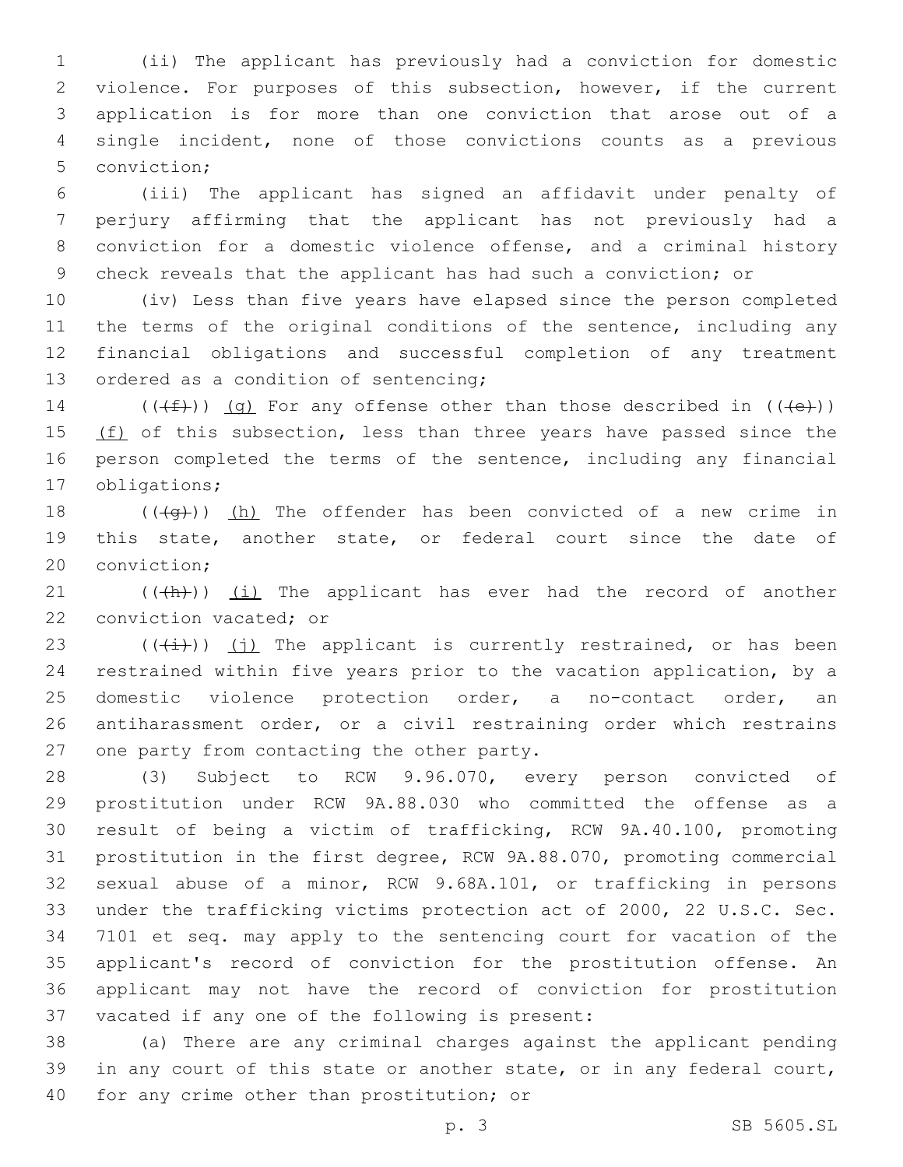(ii) The applicant has previously had a conviction for domestic violence. For purposes of this subsection, however, if the current application is for more than one conviction that arose out of a single incident, none of those convictions counts as a previous 5 conviction;

 (iii) The applicant has signed an affidavit under penalty of perjury affirming that the applicant has not previously had a conviction for a domestic violence offense, and a criminal history check reveals that the applicant has had such a conviction; or

 (iv) Less than five years have elapsed since the person completed 11 the terms of the original conditions of the sentence, including any financial obligations and successful completion of any treatment 13 ordered as a condition of sentencing;

14 ( $(\overline{f})$ ) (q) For any offense other than those described in ( $(\overline{f})$ ) 15 (f) of this subsection, less than three years have passed since the person completed the terms of the sentence, including any financial 17 obligations;

18  $((+q))$  (h) The offender has been convicted of a new crime in this state, another state, or federal court since the date of 20 conviction;

 (( $\left(\frac{h}{h}\right)$ ) (i) The applicant has ever had the record of another 22 conviction vacated; or

 $((\overline{(\dagger)}))(\overline{(\dagger)})$  The applicant is currently restrained, or has been restrained within five years prior to the vacation application, by a domestic violence protection order, a no-contact order, an antiharassment order, or a civil restraining order which restrains 27 one party from contacting the other party.

 (3) Subject to RCW 9.96.070, every person convicted of prostitution under RCW 9A.88.030 who committed the offense as a result of being a victim of trafficking, RCW 9A.40.100, promoting prostitution in the first degree, RCW 9A.88.070, promoting commercial sexual abuse of a minor, RCW 9.68A.101, or trafficking in persons under the trafficking victims protection act of 2000, 22 U.S.C. Sec. 7101 et seq. may apply to the sentencing court for vacation of the applicant's record of conviction for the prostitution offense. An applicant may not have the record of conviction for prostitution 37 vacated if any one of the following is present:

 (a) There are any criminal charges against the applicant pending 39 in any court of this state or another state, or in any federal court, 40 for any crime other than prostitution; or

p. 3 SB 5605.SL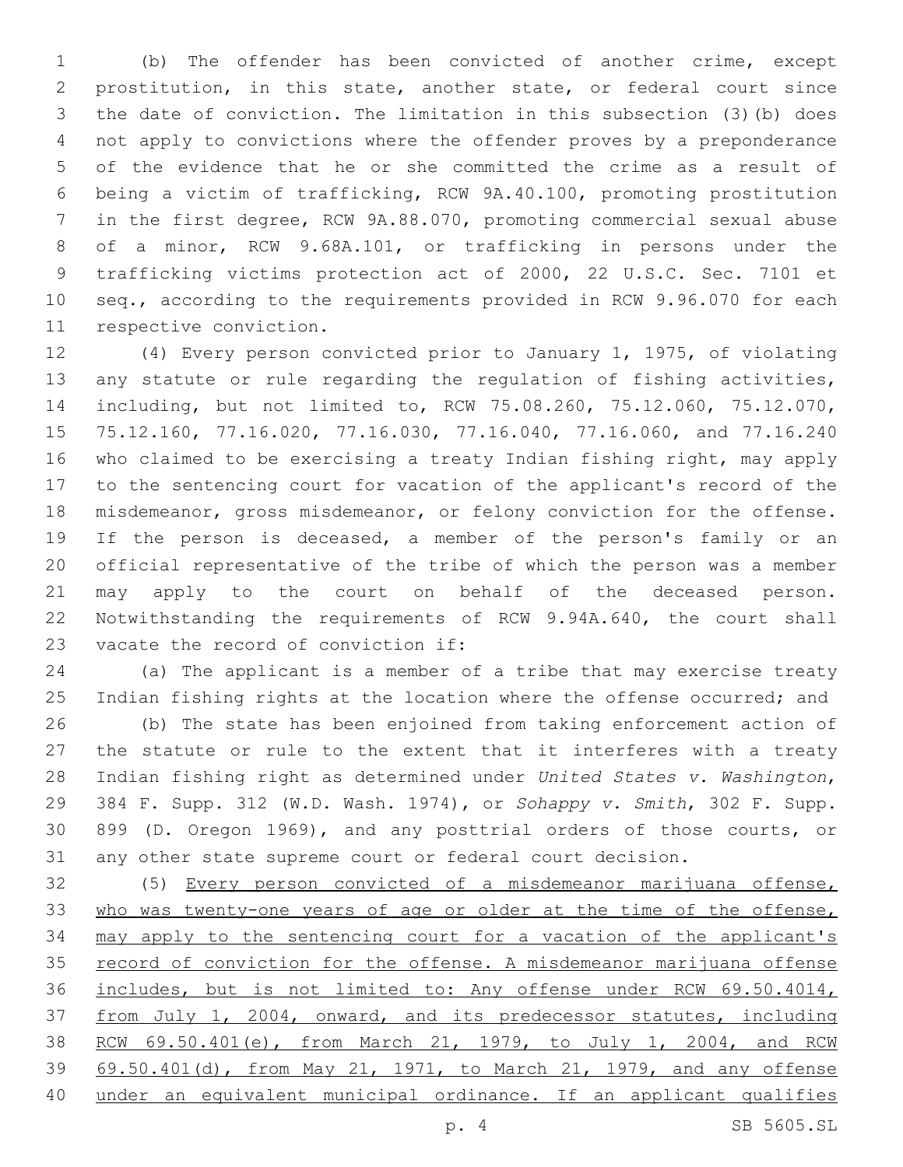(b) The offender has been convicted of another crime, except prostitution, in this state, another state, or federal court since the date of conviction. The limitation in this subsection (3)(b) does not apply to convictions where the offender proves by a preponderance of the evidence that he or she committed the crime as a result of being a victim of trafficking, RCW 9A.40.100, promoting prostitution in the first degree, RCW 9A.88.070, promoting commercial sexual abuse of a minor, RCW 9.68A.101, or trafficking in persons under the trafficking victims protection act of 2000, 22 U.S.C. Sec. 7101 et seq., according to the requirements provided in RCW 9.96.070 for each 11 respective conviction.

 (4) Every person convicted prior to January 1, 1975, of violating any statute or rule regarding the regulation of fishing activities, including, but not limited to, RCW 75.08.260, 75.12.060, 75.12.070, 75.12.160, 77.16.020, 77.16.030, 77.16.040, 77.16.060, and 77.16.240 who claimed to be exercising a treaty Indian fishing right, may apply to the sentencing court for vacation of the applicant's record of the misdemeanor, gross misdemeanor, or felony conviction for the offense. If the person is deceased, a member of the person's family or an official representative of the tribe of which the person was a member may apply to the court on behalf of the deceased person. Notwithstanding the requirements of RCW 9.94A.640, the court shall 23 vacate the record of conviction if:

 (a) The applicant is a member of a tribe that may exercise treaty 25 Indian fishing rights at the location where the offense occurred; and

 (b) The state has been enjoined from taking enforcement action of the statute or rule to the extent that it interferes with a treaty Indian fishing right as determined under *United States v. Washington*, 384 F. Supp. 312 (W.D. Wash. 1974), or *Sohappy v. Smith*, 302 F. Supp. 899 (D. Oregon 1969), and any posttrial orders of those courts, or any other state supreme court or federal court decision.

 (5) Every person convicted of a misdemeanor marijuana offense, who was twenty-one years of age or older at the time of the offense, may apply to the sentencing court for a vacation of the applicant's 35 record of conviction for the offense. A misdemeanor marijuana offense includes, but is not limited to: Any offense under RCW 69.50.4014, from July 1, 2004, onward, and its predecessor statutes, including RCW 69.50.401(e), from March 21, 1979, to July 1, 2004, and RCW 69.50.401(d), from May 21, 1971, to March 21, 1979, and any offense under an equivalent municipal ordinance. If an applicant qualifies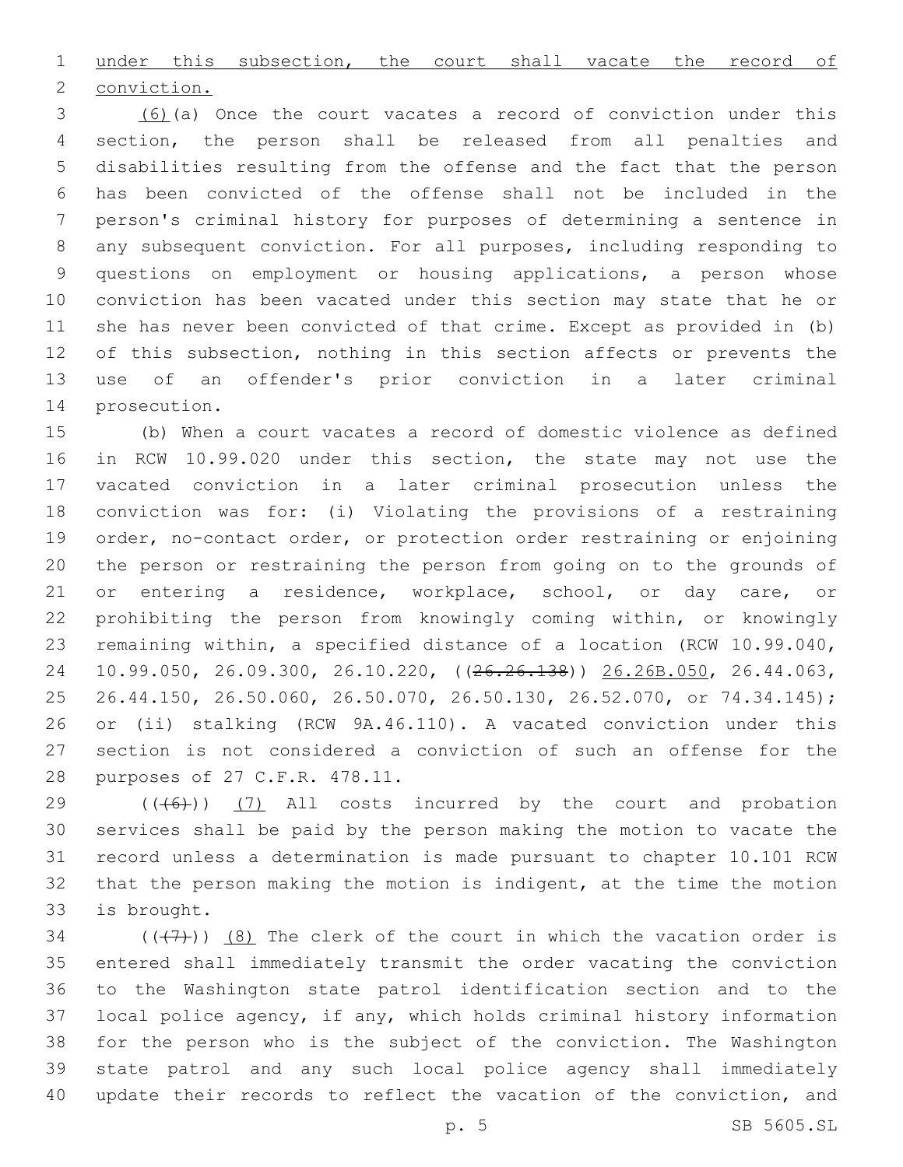under this subsection, the court shall vacate the record of

2 conviction.

 (6)(a) Once the court vacates a record of conviction under this section, the person shall be released from all penalties and disabilities resulting from the offense and the fact that the person has been convicted of the offense shall not be included in the person's criminal history for purposes of determining a sentence in any subsequent conviction. For all purposes, including responding to questions on employment or housing applications, a person whose conviction has been vacated under this section may state that he or she has never been convicted of that crime. Except as provided in (b) 12 of this subsection, nothing in this section affects or prevents the use of an offender's prior conviction in a later criminal 14 prosecution.

 (b) When a court vacates a record of domestic violence as defined in RCW 10.99.020 under this section, the state may not use the vacated conviction in a later criminal prosecution unless the conviction was for: (i) Violating the provisions of a restraining order, no-contact order, or protection order restraining or enjoining the person or restraining the person from going on to the grounds of 21 or entering a residence, workplace, school, or day care, or prohibiting the person from knowingly coming within, or knowingly remaining within, a specified distance of a location (RCW 10.99.040, 10.99.050, 26.09.300, 26.10.220, ((26.26.138)) 26.26B.050, 26.44.063, 26.44.150, 26.50.060, 26.50.070, 26.50.130, 26.52.070, or 74.34.145); or (ii) stalking (RCW 9A.46.110). A vacated conviction under this section is not considered a conviction of such an offense for the 28 purposes of 27 C.F.R. 478.11.

 ( $(\overline{(+6+)}$ ) (7) All costs incurred by the court and probation services shall be paid by the person making the motion to vacate the record unless a determination is made pursuant to chapter 10.101 RCW that the person making the motion is indigent, at the time the motion 33 is brought.

 $((+7+))$  (8) The clerk of the court in which the vacation order is entered shall immediately transmit the order vacating the conviction to the Washington state patrol identification section and to the local police agency, if any, which holds criminal history information for the person who is the subject of the conviction. The Washington state patrol and any such local police agency shall immediately update their records to reflect the vacation of the conviction, and